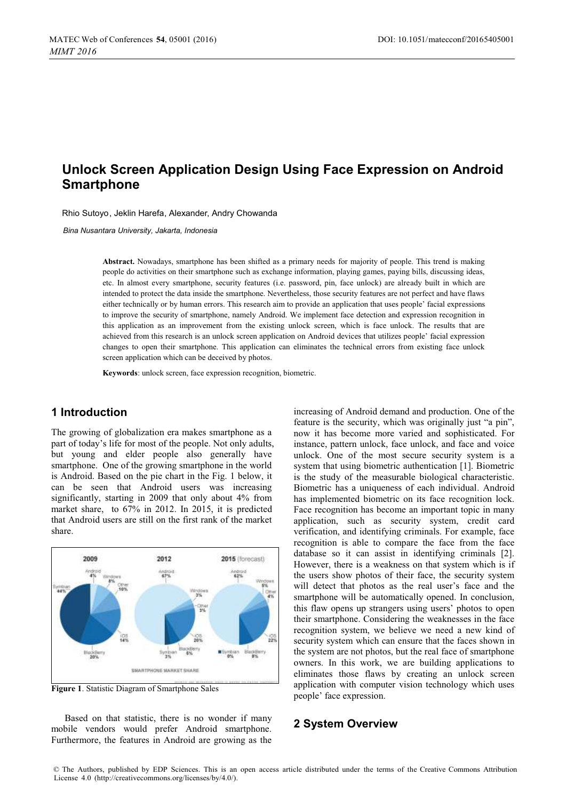# **Unlock Screen Application Design Using Face Expression on Android Smartphone**

Rhio Sutoyo, Jeklin Harefa, Alexander, Andry Chowanda

*Bina Nusantara University, Jakarta, Indonesia* 

**Abstract.** Nowadays, smartphone has been shifted as a primary needs for majority of people. This trend is making people do activities on their smartphone such as exchange information, playing games, paying bills, discussing ideas, etc. In almost every smartphone, security features (i.e. password, pin, face unlock) are already built in which are intended to protect the data inside the smartphone. Nevertheless, those security features are not perfect and have flaws either technically or by human errors. This research aim to provide an application that uses people' facial expressions to improve the security of smartphone, namely Android. We implement face detection and expression recognition in this application as an improvement from the existing unlock screen, which is face unlock. The results that are achieved from this research is an unlock screen application on Android devices that utilizes people' facial expression changes to open their smartphone. This application can eliminates the technical errors from existing face unlock screen application which can be deceived by photos.

**Keywords**: unlock screen, face expression recognition, biometric.

# **1 Introduction**

The growing of globalization era makes smartphone as a part of today's life for most of the people. Not only adults, but young and elder people also generally have smartphone. One of the growing smartphone in the world is Android. Based on the pie chart in the Fig. 1 below, it can be seen that Android users was increasing significantly, starting in 2009 that only about 4% from market share, to 67% in 2012. In 2015, it is predicted that Android users are still on the first rank of the market share.



**Figure 1**. Statistic Diagram of Smartphone Sales

Based on that statistic, there is no wonder if many mobile vendors would prefer Android smartphone. Furthermore, the features in Android are growing as the

increasing of Android demand and production. One of the feature is the security, which was originally just "a pin", now it has become more varied and sophisticated. For instance, pattern unlock, face unlock, and face and voice unlock. One of the most secure security system is a system that using biometric authentication [1]. Biometric is the study of the measurable biological characteristic. Biometric has a uniqueness of each individual. Android has implemented biometric on its face recognition lock. Face recognition has become an important topic in many application, such as security system, credit card verification, and identifying criminals. For example, face recognition is able to compare the face from the face database so it can assist in identifying criminals [2]. However, there is a weakness on that system which is if the users show photos of their face, the security system will detect that photos as the real user's face and the smartphone will be automatically opened. In conclusion, this flaw opens up strangers using users' photos to open their smartphone. Considering the weaknesses in the face recognition system, we believe we need a new kind of security system which can ensure that the faces shown in the system are not photos, but the real face of smartphone owners. In this work, we are building applications to eliminates those flaws by creating an unlock screen application with computer vision technology which uses people' face expression.

# **2 System Overview**

© The Authors, published by EDP Sciences. This is an open access article distributed under the terms of the Creative Commons Attribution License 4.0 [\(http://creativecommons.org/licenses/by/4.0/\)](http://creativecommons.org/licenses/by/4.0/).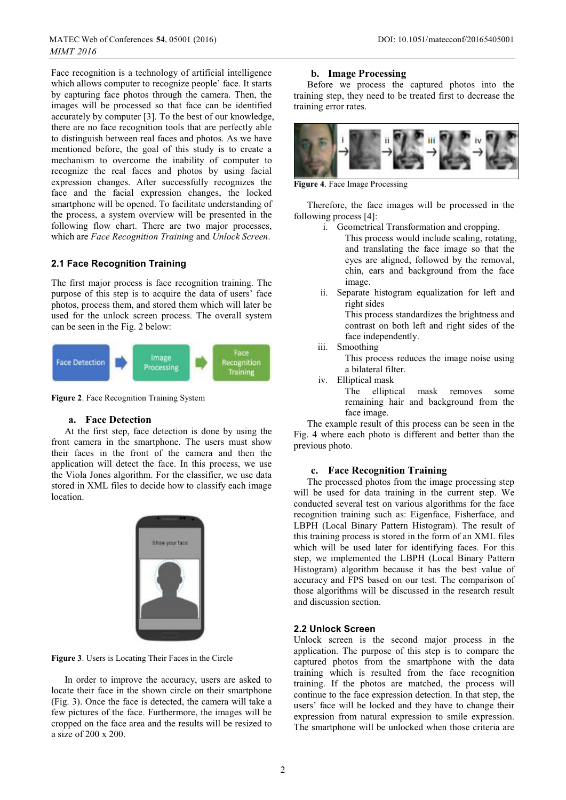Face recognition is a technology of artificial intelligence which allows computer to recognize people' face. It starts by capturing face photos through the camera. Then, the images will be processed so that face can be identified accurately by computer [3]. To the best of our knowledge, there are no face recognition tools that are perfectly able to distinguish between real faces and photos. As we have mentioned before, the goal of this study is to create a mechanism to overcome the inability of computer to recognize the real faces and photos by using facial expression changes. After successfully recognizes the face and the facial expression changes, the locked smartphone will be opened. To facilitate understanding of the process, a system overview will be presented in the following flow chart. There are two major processes, which are *Face Recognition Training* and *Unlock Screen*.

### **2.1 Face Recognition Training**

The first major process is face recognition training. The purpose of this step is to acquire the data of users' face photos, process them, and stored them which will later be used for the unlock screen process. The overall system can be seen in the Fig. 2 below:



**Figure 2**. Face Recognition Training System

#### **a. Face Detection**

At the first step, face detection is done by using the front camera in the smartphone. The users must show their faces in the front of the camera and then the application will detect the face. In this process, we use the Viola Jones algorithm. For the classifier, we use data stored in XML files to decide how to classify each image location.



**Figure 3**. Users is Locating Their Faces in the Circle

In order to improve the accuracy, users are asked to locate their face in the shown circle on their smartphone (Fig. 3). Once the face is detected, the camera will take a few pictures of the face. Furthermore, the images will be cropped on the face area and the results will be resized to a size of 200 x 200.

## **b. Image Processing**

Before we process the captured photos into the training step, they need to be treated first to decrease the training error rates.



**Figure 4**. Face Image Processing

Therefore, the face images will be processed in the following process [4]:

- i. Geometrical Transformation and cropping.
	- This process would include scaling, rotating, and translating the face image so that the eyes are aligned, followed by the removal, chin, ears and background from the face image.
- ii. Separate histogram equalization for left and right sides This process standardizes the brightness and contrast on both left and right sides of the face independently.
- iii. Smoothing
	- This process reduces the image noise using a bilateral filter.
- iv. Elliptical mask
	- The elliptical mask removes some remaining hair and background from the face image.

The example result of this process can be seen in the Fig. 4 where each photo is different and better than the previous photo.

### **c. Face Recognition Training**

The processed photos from the image processing step will be used for data training in the current step. We conducted several test on various algorithms for the face recognition training such as: Eigenface, Fisherface, and LBPH (Local Binary Pattern Histogram). The result of this training process is stored in the form of an XML files which will be used later for identifying faces. For this step, we implemented the LBPH (Local Binary Pattern Histogram) algorithm because it has the best value of accuracy and FPS based on our test. The comparison of those algorithms will be discussed in the research result and discussion section.

#### **2.2 Unlock Screen**

Unlock screen is the second major process in the application. The purpose of this step is to compare the captured photos from the smartphone with the data training which is resulted from the face recognition training. If the photos are matched, the process will continue to the face expression detection. In that step, the users' face will be locked and they have to change their expression from natural expression to smile expression. The smartphone will be unlocked when those criteria are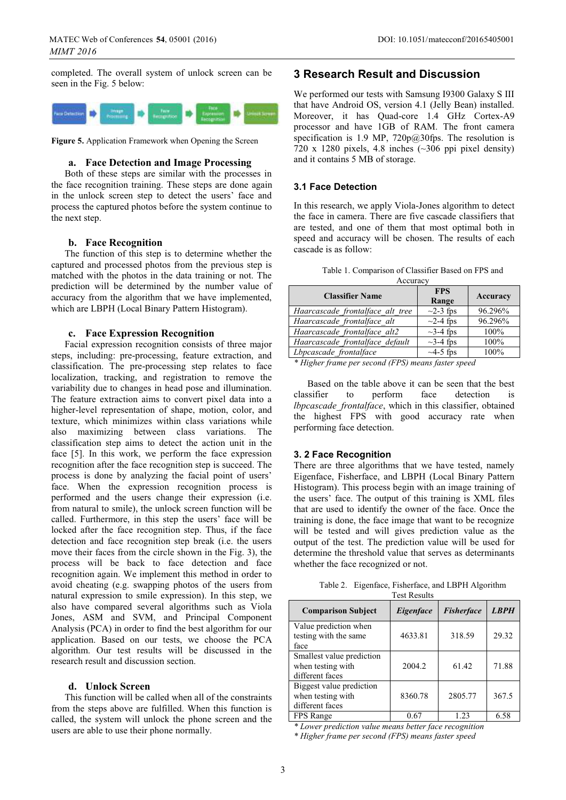completed. The overall system of unlock screen can be seen in the Fig. 5 below:



**Figure 5.** Application Framework when Opening the Screen

### **a. Face Detection and Image Processing**

Both of these steps are similar with the processes in the face recognition training. These steps are done again in the unlock screen step to detect the users' face and process the captured photos before the system continue to the next step.

#### **b. Face Recognition**

The function of this step is to determine whether the captured and processed photos from the previous step is matched with the photos in the data training or not. The prediction will be determined by the number value of accuracy from the algorithm that we have implemented, which are LBPH (Local Binary Pattern Histogram).

### **c. Face Expression Recognition**

Facial expression recognition consists of three major steps, including: pre-processing, feature extraction, and classification. The pre-processing step relates to face localization, tracking, and registration to remove the variability due to changes in head pose and illumination. The feature extraction aims to convert pixel data into a higher-level representation of shape, motion, color, and texture, which minimizes within class variations while also maximizing between class variations. The classification step aims to detect the action unit in the face [5]. In this work, we perform the face expression recognition after the face recognition step is succeed. The process is done by analyzing the facial point of users' face. When the expression recognition process is performed and the users change their expression (i.e. from natural to smile), the unlock screen function will be called. Furthermore, in this step the users' face will be locked after the face recognition step. Thus, if the face detection and face recognition step break (i.e. the users move their faces from the circle shown in the Fig. 3), the process will be back to face detection and face recognition again. We implement this method in order to avoid cheating (e.g. swapping photos of the users from natural expression to smile expression). In this step, we also have compared several algorithms such as Viola Jones, ASM and SVM, and Principal Component Analysis (PCA) in order to find the best algorithm for our application. Based on our tests, we choose the PCA algorithm. Our test results will be discussed in the research result and discussion section.

#### **d. Unlock Screen**

This function will be called when all of the constraints from the steps above are fulfilled. When this function is called, the system will unlock the phone screen and the users are able to use their phone normally.

# **3 Research Result and Discussion**

We performed our tests with Samsung I9300 Galaxy S III that have Android OS, version 4.1 (Jelly Bean) installed. Moreover, it has Quad-core 1.4 GHz Cortex-A9 processor and have 1GB of RAM. The front camera specification is 1.9 MP, 720p@30fps. The resolution is 720 x 1280 pixels, 4.8 inches (~306 ppi pixel density) and it contains 5 MB of storage.

### **3.1 Face Detection**

In this research, we apply Viola-Jones algorithm to detect the face in camera. There are five cascade classifiers that are tested, and one of them that most optimal both in speed and accuracy will be chosen. The results of each cascade is as follow:

Table 1. Comparison of Classifier Based on FPS and Accuracy

| <b>Classifier Name</b>           | <b>FPS</b><br>Range | Accuracy |  |
|----------------------------------|---------------------|----------|--|
| Haarcascade frontalface alt tree | $\sim$ 2-3 fps      | 96.296%  |  |
| Haarcascade frontalface alt      | $\sim$ 2-4 fps      | 96.296%  |  |
| Haarcascade frontalface alt2     | $\sim$ 3-4 fps      | 100%     |  |
| Haarcascade frontalface default  | $\sim$ 3-4 fps      | 100%     |  |
| Lbpcascade frontalface           | $\sim$ 4-5 fps      | 100%     |  |

*\* Higher frame per second (FPS) means faster speed*

Based on the table above it can be seen that the best classifier to perform face detection is *lbpcascade\_frontalface*, which in this classifier, obtained the highest FPS with good accuracy rate when performing face detection.

### **3. 2 Face Recognition**

There are three algorithms that we have tested, namely Eigenface, Fisherface, and LBPH (Local Binary Pattern Histogram). This process begin with an image training of the users' face. The output of this training is XML files that are used to identify the owner of the face. Once the training is done, the face image that want to be recognize will be tested and will gives prediction value as the output of the test. The prediction value will be used for determine the threshold value that serves as determinants whether the face recognized or not.

Table 2. Eigenface, Fisherface, and LBPH Algorithm Test Results

| <b>Comparison Subject</b>                                         | Eigenface | <b>Fisherface</b> | <b>LBPH</b> |
|-------------------------------------------------------------------|-----------|-------------------|-------------|
| Value prediction when<br>testing with the same<br>face            | 4633.81   | 318.59            | 29.32       |
| Smallest value prediction<br>when testing with<br>different faces | 2004.2    | 61.42             | 71.88       |
| Biggest value prediction<br>when testing with<br>different faces  | 8360.78   | 2805.77           | 367.5       |
| FPS Range                                                         | 0.67      | 1.23              | 6.58        |

*\* Lower prediction value means better face recognition \* Higher frame per second (FPS) means faster speed*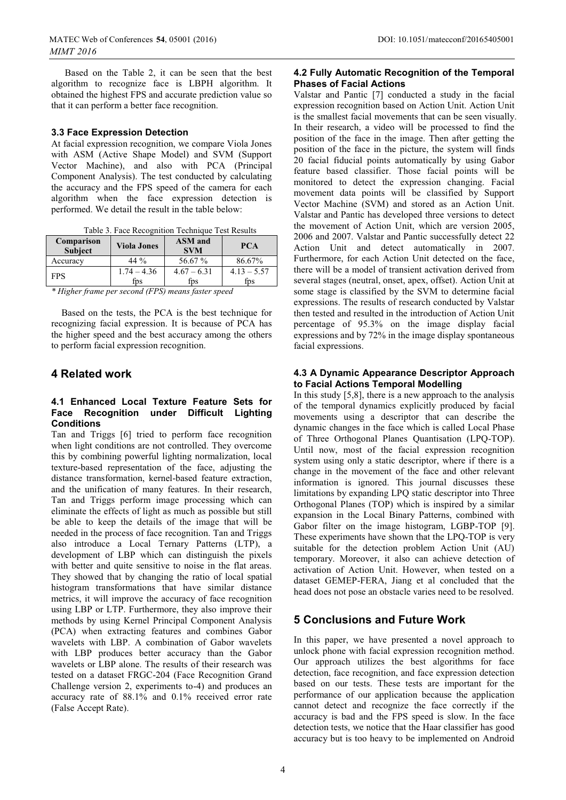Based on the Table 2, it can be seen that the best algorithm to recognize face is LBPH algorithm. It obtained the highest FPS and accurate prediction value so that it can perform a better face recognition.

### **3.3 Face Expression Detection**

At facial expression recognition, we compare Viola Jones with ASM (Active Shape Model) and SVM (Support Vector Machine), and also with PCA (Principal Component Analysis). The test conducted by calculating the accuracy and the FPS speed of the camera for each algorithm when the face expression detection is performed. We detail the result in the table below:

|  |  | Table 3. Face Recognition Technique Test Results |
|--|--|--------------------------------------------------|
|  |  |                                                  |

| Comparison<br><b>Subject</b> | <b>Viola Jones</b> | <b>ASM</b> and<br><b>SVM</b> | <b>PCA</b>    |
|------------------------------|--------------------|------------------------------|---------------|
| Accuracy                     | 44 $\%$            | 56.67 %                      | 86.67%        |
| <b>FPS</b>                   | $1.74 - 4.36$      | $4.67 - 6.31$                | $4.13 - 5.57$ |
|                              | fps                | fps                          | fps           |

*\* Higher frame per second (FPS) means faster speed* 

Based on the tests, the PCA is the best technique for recognizing facial expression. It is because of PCA has the higher speed and the best accuracy among the others to perform facial expression recognition.

# **4 Related work**

### **4.1 Enhanced Local Texture Feature Sets for Face Recognition under Difficult Lighting Conditions**

Tan and Triggs [6] tried to perform face recognition when light conditions are not controlled. They overcome this by combining powerful lighting normalization, local texture-based representation of the face, adjusting the distance transformation, kernel-based feature extraction, and the unification of many features. In their research, Tan and Triggs perform image processing which can eliminate the effects of light as much as possible but still be able to keep the details of the image that will be needed in the process of face recognition. Tan and Triggs also introduce a Local Ternary Patterns (LTP), a development of LBP which can distinguish the pixels with better and quite sensitive to noise in the flat areas. They showed that by changing the ratio of local spatial histogram transformations that have similar distance metrics, it will improve the accuracy of face recognition using LBP or LTP. Furthermore, they also improve their methods by using Kernel Principal Component Analysis (PCA) when extracting features and combines Gabor wavelets with LBP. A combination of Gabor wavelets with LBP produces better accuracy than the Gabor wavelets or LBP alone. The results of their research was tested on a dataset FRGC-204 (Face Recognition Grand Challenge version 2, experiments to-4) and produces an accuracy rate of 88.1% and 0.1% received error rate (False Accept Rate).

### **4.2 Fully Automatic Recognition of the Temporal Phases of Facial Actions**

Valstar and Pantic [7] conducted a study in the facial expression recognition based on Action Unit. Action Unit is the smallest facial movements that can be seen visually. In their research, a video will be processed to find the position of the face in the image. Then after getting the position of the face in the picture, the system will finds 20 facial fiducial points automatically by using Gabor feature based classifier. Those facial points will be monitored to detect the expression changing. Facial movement data points will be classified by Support Vector Machine (SVM) and stored as an Action Unit. Valstar and Pantic has developed three versions to detect the movement of Action Unit, which are version 2005, 2006 and 2007. Valstar and Pantic successfully detect 22 Action Unit and detect automatically in 2007. Furthermore, for each Action Unit detected on the face, there will be a model of transient activation derived from several stages (neutral, onset, apex, offset). Action Unit at some stage is classified by the SVM to determine facial expressions. The results of research conducted by Valstar then tested and resulted in the introduction of Action Unit percentage of 95.3% on the image display facial expressions and by 72% in the image display spontaneous facial expressions.

### **4.3 A Dynamic Appearance Descriptor Approach to Facial Actions Temporal Modelling**

In this study [5,8], there is a new approach to the analysis of the temporal dynamics explicitly produced by facial movements using a descriptor that can describe the dynamic changes in the face which is called Local Phase of Three Orthogonal Planes Quantisation (LPQ-TOP). Until now, most of the facial expression recognition system using only a static descriptor, where if there is a change in the movement of the face and other relevant information is ignored. This journal discusses these limitations by expanding LPQ static descriptor into Three Orthogonal Planes (TOP) which is inspired by a similar expansion in the Local Binary Patterns, combined with Gabor filter on the image histogram, LGBP-TOP [9]. These experiments have shown that the LPQ-TOP is very suitable for the detection problem Action Unit (AU) temporary. Moreover, it also can achieve detection of activation of Action Unit. However, when tested on a dataset GEMEP-FERA, Jiang et al concluded that the head does not pose an obstacle varies need to be resolved.

# **5 Conclusions and Future Work**

In this paper, we have presented a novel approach to unlock phone with facial expression recognition method. Our approach utilizes the best algorithms for face detection, face recognition, and face expression detection based on our tests. These tests are important for the performance of our application because the application cannot detect and recognize the face correctly if the accuracy is bad and the FPS speed is slow. In the face detection tests, we notice that the Haar classifier has good accuracy but is too heavy to be implemented on Android